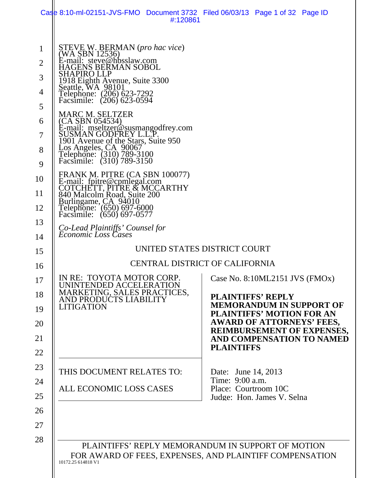|                                                                                                            | Case 8:10-ml-02151-JVS-FMO Document 3732 Filed 06/03/13 Page 1 of 32 Page ID<br>#:120861                                                                                                                                                                                                                                                                                                                                                                                                                                                                                                                                                                                                                                                               |                                                                                                                                                                                                                                                                                                        |
|------------------------------------------------------------------------------------------------------------|--------------------------------------------------------------------------------------------------------------------------------------------------------------------------------------------------------------------------------------------------------------------------------------------------------------------------------------------------------------------------------------------------------------------------------------------------------------------------------------------------------------------------------------------------------------------------------------------------------------------------------------------------------------------------------------------------------------------------------------------------------|--------------------------------------------------------------------------------------------------------------------------------------------------------------------------------------------------------------------------------------------------------------------------------------------------------|
| $\mathbf 1$<br>$\overline{2}$<br>3<br>4<br>5<br>6<br>7<br>8<br>9<br>10<br>11<br>12<br>13<br>14<br>15<br>16 | STEVE W. BERMAN (pro hac vice)<br>(WA SBN 12536)<br>E-mail: steve@hbsslaw.com<br>GENS BERMAN SOBOL<br>SHAPIRO LLP<br>1918 Eighth Avenue, Suite 3300<br>Seattle, WA 98101<br>Telephone: (206) 623-7292<br>Facsimile: (206) 623-0594<br><b>MARC M. SELTZER</b><br>(CA SBN 054534)<br>E-mail: mseltzer@susmangodfrey.com<br>SUSMAN GODFREY L.L.P.<br>1901 Avenue of the Stars, Suite 950<br>Los Angeles, $CA$ $90067$<br>Telephone: (310) 789-3100<br>Facsimile: (310) 789-3150<br>FRANK M. PITRE (CA SBN 100077)<br>E-mail: fpitre@cpmlegal.com<br>COTCHETT, PITRE & MCCARTHY<br>840 Malcolm Road, Suite 200<br>Burlingame, CA 94010<br>Telephone: (650) 697-6000<br>Facsimile: (650) 697-0577<br>Co-Lead Plaintiffs' Counsel for<br>Economic Loss Cases | UNITED STATES DISTRICT COURT<br><b>CENTRAL DISTRICT OF CALIFORNIA</b>                                                                                                                                                                                                                                  |
| 17<br>18<br>19<br>20<br>21<br>22<br>23<br>24                                                               | IN RE: TOYOTA MOTOR CORP.<br>UNINTENDED ACCELERATION<br>MARKETING, SALES PRACTICES,<br>AND PRODUCTS LIABILITY<br><b>LITIGATION</b><br>THIS DOCUMENT RELATES TO:                                                                                                                                                                                                                                                                                                                                                                                                                                                                                                                                                                                        | Case No. 8:10ML2151 JVS (FMOx)<br><b>PLAINTIFFS' REPLY</b><br><b>MEMORANDUM IN SUPPORT OF</b><br><b>PLAINTIFFS' MOTION FOR AN</b><br><b>AWARD OF ATTORNEYS' FEES,</b><br><b>REIMBURSEMENT OF EXPENSES,</b><br>AND COMPENSATION TO NAMED<br><b>PLAINTIFFS</b><br>Date: June 14, 2013<br>Time: 9:00 a.m. |
| 25<br>26<br>27<br>28                                                                                       | ALL ECONOMIC LOSS CASES<br>10172.25 614818 V1                                                                                                                                                                                                                                                                                                                                                                                                                                                                                                                                                                                                                                                                                                          | Place: Courtroom 10C<br>Judge: Hon. James V. Selna<br>PLAINTIFFS' REPLY MEMORANDUM IN SUPPORT OF MOTION<br>FOR AWARD OF FEES, EXPENSES, AND PLAINTIFF COMPENSATION                                                                                                                                     |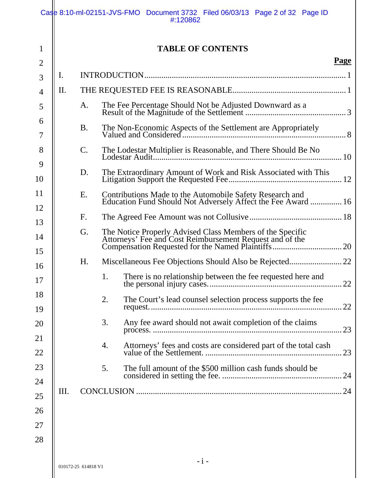|                |     |                     | Case 8:10-ml-02151-JVS-FMO Document 3732 Filed 06/03/13 Page 2 of 32 Page ID<br>#:120862                                 |    |
|----------------|-----|---------------------|--------------------------------------------------------------------------------------------------------------------------|----|
| 1              |     |                     | <b>TABLE OF CONTENTS</b>                                                                                                 |    |
| $\overline{2}$ |     |                     | Page                                                                                                                     |    |
| 3              | I.  |                     |                                                                                                                          |    |
| $\overline{4}$ | II. |                     |                                                                                                                          |    |
| 5              |     | A.                  |                                                                                                                          |    |
| 6<br>7         |     | <b>B.</b>           |                                                                                                                          |    |
| 8<br>9         |     | $\mathcal{C}$ .     | The Lodestar Multiplier is Reasonable, and There Should Be No                                                            |    |
| 10             |     | D.                  |                                                                                                                          |    |
| 11<br>12       |     | E.                  | Contributions Made to the Automobile Safety Research and<br>Education Fund Should Not Adversely Affect the Fee Award  16 |    |
| 13             |     | F.                  |                                                                                                                          |    |
| 14<br>15       |     | G.                  |                                                                                                                          |    |
| 16             |     | H.                  |                                                                                                                          |    |
| 17             |     |                     | 1.<br>There is no relationship between the fee requested here and<br>. 22                                                |    |
| 18<br>19       |     |                     | 2.<br>The Court's lead counsel selection process supports the fee                                                        | 22 |
| 20             |     |                     | 3.<br>Any fee award should not await completion of the claims                                                            | 23 |
| 21<br>22       |     |                     | 4.<br>Attorneys' fees and costs are considered part of the total cash                                                    | 23 |
| 23             |     |                     | 5.<br>The full amount of the \$500 million cash funds should be<br>. 24                                                  |    |
| 24             | Ш.  |                     |                                                                                                                          |    |
| 25             |     |                     |                                                                                                                          |    |
| 26             |     |                     |                                                                                                                          |    |
| 27             |     |                     |                                                                                                                          |    |
| 28             |     |                     |                                                                                                                          |    |
|                |     | 010172-25 614818 V1 | $-i-$                                                                                                                    |    |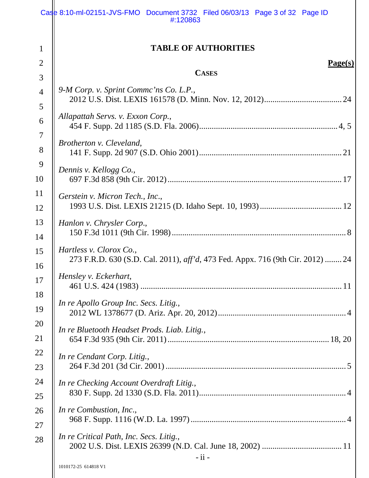|                | Case 8:10-ml-02151-JVS-FMO Document 3732 Filed 06/03/13 Page 3 of 32 Page ID<br>#:120863                          |
|----------------|-------------------------------------------------------------------------------------------------------------------|
| T              | <b>TABLE OF AUTHORITIES</b>                                                                                       |
| 2              | Page(s)                                                                                                           |
| 3              | <b>CASES</b>                                                                                                      |
| $\overline{4}$ | 9-M Corp. v. Sprint Commc'ns Co. L.P.,                                                                            |
| 5<br>6         | Allapattah Servs. v. Exxon Corp.,                                                                                 |
| 7              |                                                                                                                   |
| 8              | Brotherton v. Cleveland,                                                                                          |
| 9              | Dennis v. Kellogg Co.,                                                                                            |
| 10             |                                                                                                                   |
| 11<br>12       | Gerstein v. Micron Tech., Inc.,                                                                                   |
| 13             |                                                                                                                   |
| 14             | Hanlon v. Chrysler Corp.,                                                                                         |
| 15<br>16       | Hartless v. Clorox Co.,<br>273 F.R.D. 630 (S.D. Cal. 2011), <i>aff'd</i> , 473 Fed. Appx. 716 (9th Cir. 2012)  24 |
| 17             | Hensley v. Eckerhart,                                                                                             |
| 18<br>19       | In re Apollo Group Inc. Secs. Litig.,                                                                             |
| 20<br>21       | In re Bluetooth Headset Prods. Liab. Litig.,                                                                      |
| 22<br>23       | In re Cendant Corp. Litig.,                                                                                       |
| 24<br>25       | In re Checking Account Overdraft Litig.,                                                                          |
| 26             | In re Combustion, Inc.,                                                                                           |
| 27             |                                                                                                                   |
| 28             | In re Critical Path, Inc. Secs. Litig.,                                                                           |
|                | - ii -<br>1010172-25 614818 V1                                                                                    |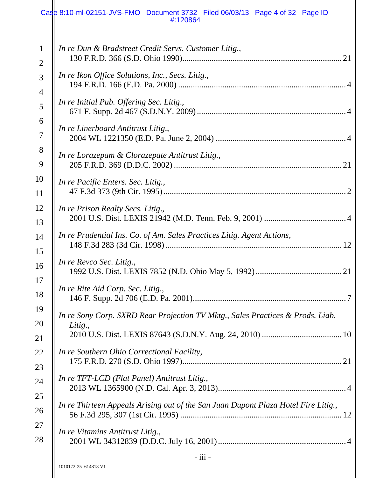#### Case 8:10-ml-02151-JVS-FMO Document 3732 Filed 06/03/13 Page 4 of 32 Page ID #:120864

| $\mathbf{1}$   | In re Dun & Bradstreet Credit Servs. Customer Litig.,                              |
|----------------|------------------------------------------------------------------------------------|
| $\overline{2}$ |                                                                                    |
| 3              | In re Ikon Office Solutions, Inc., Secs. Litig.,                                   |
| $\overline{4}$ |                                                                                    |
| 5              | In re Initial Pub. Offering Sec. Litig.,                                           |
| 6              | In re Linerboard Antitrust Litig.,                                                 |
| $\overline{7}$ |                                                                                    |
| 8              | In re Lorazepam & Clorazepate Antitrust Litig.,                                    |
| 9              |                                                                                    |
| 10             | In re Pacific Enters. Sec. Litig.,                                                 |
| 11             |                                                                                    |
| 12             | In re Prison Realty Secs. Litig.,                                                  |
| 13             |                                                                                    |
| 14             | In re Prudential Ins. Co. of Am. Sales Practices Litig. Agent Actions,             |
| 15             | In re Revco Sec. Litig.,                                                           |
| 16             |                                                                                    |
| 17             | In re Rite Aid Corp. Sec. Litig.,                                                  |
| 18             |                                                                                    |
| 19             | In re Sony Corp. SXRD Rear Projection TV Mktg., Sales Practices & Prods. Liab.     |
| 20             | Litig.,                                                                            |
| 21             |                                                                                    |
| 22             | In re Southern Ohio Correctional Facility,                                         |
| 23             |                                                                                    |
| 24             | In re TFT-LCD (Flat Panel) Antitrust Litig.,                                       |
| 25             | In re Thirteen Appeals Arising out of the San Juan Dupont Plaza Hotel Fire Litig., |
| 26             |                                                                                    |
| 27             | In re Vitamins Antitrust Litig.,                                                   |
| 28             |                                                                                    |
|                | $-$ iii $-$                                                                        |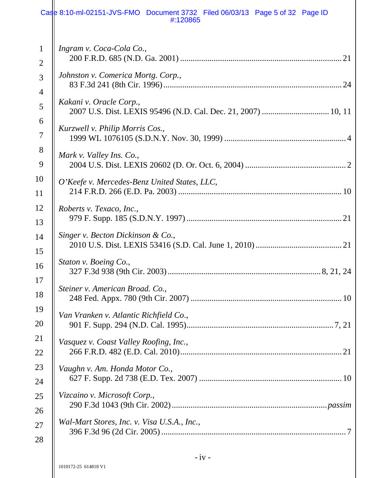#### Case 8:10-ml-02151-JVS-FMO Document 3732 Filed 06/03/13 Page 5 of 32 Page ID #:120865

| $\mathbf{1}$   | Ingram v. Coca-Cola Co.,                     |
|----------------|----------------------------------------------|
| $\overline{2}$ |                                              |
| 3              | Johnston v. Comerica Mortg. Corp.,           |
| $\overline{4}$ |                                              |
| 5              | Kakani v. Oracle Corp.,                      |
| 6              | Kurzwell v. Philip Morris Cos.,              |
| 7              |                                              |
| 8              | Mark v. Valley Ins. Co.,                     |
| 9              |                                              |
| 10             | O'Keefe v. Mercedes-Benz United States, LLC, |
| 11             |                                              |
| 12             | Roberts v. Texaco, Inc.,                     |
| 13             |                                              |
| 14             | Singer v. Becton Dickinson & Co.,            |
| 15             |                                              |
| 16             | Staton v. Boeing Co.,                        |
| 17             | Steiner v. American Broad. Co.,              |
| 18             |                                              |
| 19             | Van Vranken v. Atlantic Richfield Co.,       |
| 20             |                                              |
| 21             | Vasquez v. Coast Valley Roofing, Inc.,       |
| 22             |                                              |
| 23             | Vaughn v. Am. Honda Motor Co.,               |
| 24             |                                              |
| 25             | Vizcaino v. Microsoft Corp.,                 |
| 26             |                                              |
| 27             | Wal-Mart Stores, Inc. v. Visa U.S.A., Inc.,  |
| 28             |                                              |
|                | $-iv -$                                      |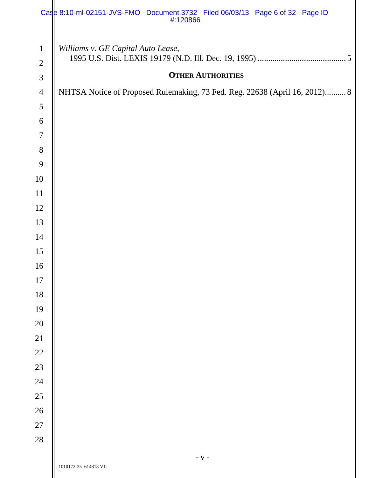|                | Case 8:10-ml-02151-JVS-FMO Document 3732 Filed 06/03/13 Page 6 of 32 Page ID<br>#:120866 |
|----------------|------------------------------------------------------------------------------------------|
| $\mathbf{1}$   | Williams v. GE Capital Auto Lease,                                                       |
| $\sqrt{2}$     |                                                                                          |
| $\mathfrak{Z}$ | <b>OTHER AUTHORITIES</b>                                                                 |
| $\overline{4}$ | NHTSA Notice of Proposed Rulemaking, 73 Fed. Reg. 22638 (April 16, 2012) 8               |
| $\mathfrak{S}$ |                                                                                          |
| 6              |                                                                                          |
| $\tau$         |                                                                                          |
| $8\,$          |                                                                                          |
| 9              |                                                                                          |
| 10             |                                                                                          |
| 11             |                                                                                          |
| 12             |                                                                                          |
| 13             |                                                                                          |
| 14             |                                                                                          |
| 15             |                                                                                          |
| 16             |                                                                                          |
| 17             |                                                                                          |
| 18             |                                                                                          |
| 19             |                                                                                          |
| $20\,$         |                                                                                          |
| 21             |                                                                                          |
| 22             |                                                                                          |
| 23             |                                                                                          |
| 24             |                                                                                          |
| $25\,$         |                                                                                          |
| 26             |                                                                                          |
| $27\,$         |                                                                                          |
| 28             |                                                                                          |
|                | - V -<br>1010172-25 614818 V1                                                            |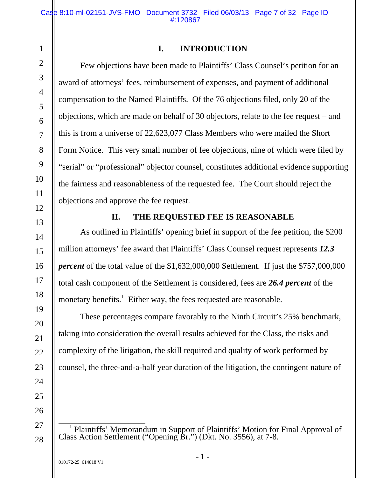# 1 2 3 4

5

6

7

8

9

10

11

12

13

14

15

16

17

18

19

20

21

22

23

24

25

26

27

28

# **I. INTRODUCTION**

Few objections have been made to Plaintiffs' Class Counsel's petition for an award of attorneys' fees, reimbursement of expenses, and payment of additional compensation to the Named Plaintiffs. Of the 76 objections filed, only 20 of the objections, which are made on behalf of 30 objectors, relate to the fee request – and this is from a universe of 22,623,077 Class Members who were mailed the Short Form Notice. This very small number of fee objections, nine of which were filed by "serial" or "professional" objector counsel, constitutes additional evidence supporting the fairness and reasonableness of the requested fee. The Court should reject the objections and approve the fee request.

# **II. THE REQUESTED FEE IS REASONABLE**

As outlined in Plaintiffs' opening brief in support of the fee petition, the \$200 million attorneys' fee award that Plaintiffs' Class Counsel request represents *12.3 percent* of the total value of the \$1,632,000,000 Settlement. If just the \$757,000,000 total cash component of the Settlement is considered, fees are *26.4 percent* of the monetary benefits.<sup>1</sup> Either way, the fees requested are reasonable.

These percentages compare favorably to the Ninth Circuit's 25% benchmark, taking into consideration the overall results achieved for the Class, the risks and complexity of the litigation, the skill required and quality of work performed by counsel, the three-and-a-half year duration of the litigation, the contingent nature of

 $\overline{1}$ Plaintiffs' Memorandum in Support of Plaintiffs' Motion for Final Approval of Class Action Settlement ("Opening Br.") (Dkt. No. 3556), at 7-8.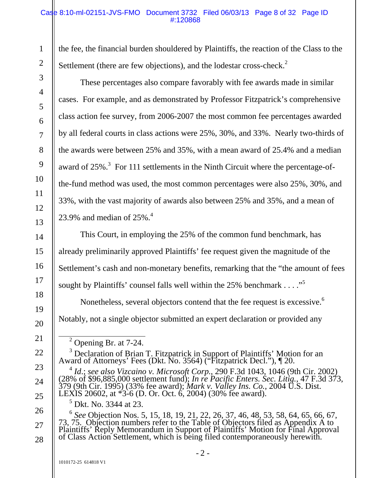#### Case 8:10-ml-02151-JVS-FMO Document 3732 Filed 06/03/13 Page 8 of 32 Page ID #:120868

the fee, the financial burden shouldered by Plaintiffs, the reaction of the Class to the Settlement (there are few objections), and the lodestar cross-check.<sup>2</sup>

These percentages also compare favorably with fee awards made in similar cases. For example, and as demonstrated by Professor Fitzpatrick's comprehensive class action fee survey, from 2006-2007 the most common fee percentages awarded by all federal courts in class actions were 25%, 30%, and 33%. Nearly two-thirds of the awards were between 25% and 35%, with a mean award of 25.4% and a median award of  $25\%$ .<sup>3</sup> For 111 settlements in the Ninth Circuit where the percentage-ofthe-fund method was used, the most common percentages were also 25%, 30%, and 33%, with the vast majority of awards also between 25% and 35%, and a mean of 23.9% and median of  $25\%$ .<sup>4</sup>

This Court, in employing the 25% of the common fund benchmark, has already preliminarily approved Plaintiffs' fee request given the magnitude of the Settlement's cash and non-monetary benefits, remarking that the "the amount of fees sought by Plaintiffs' counsel falls well within the 25% benchmark  $\dots$ ."

Nonetheless, several objectors contend that the fee request is excessive.<sup>6</sup> Notably, not a single objector submitted an expert declaration or provided any

<sup>3</sup> Declaration of Brian T. Fitzpatrick in Support of Plaintiffs' Motion for an Award of Attorneys' Fees (Dkt. No. 3564) ("Fitzpatrick Decl."), ¶ 20.

<sup>4</sup> *Id*.; *see also Vizcaino v. Microsoft Corp.*, 290 F.3d 1043, 1046 (9th Cir. 2002) (28% of \$96,885,000 settlement fund); *In re Pacific Enters. Sec. Litig.*, 47 F.3d 373, 379 (9th Cir. 1995) (33% fee award); *Mark v. Valley Ins. Co.*, 2004 U.S. Dist. LEXIS 20602, at \*3-6 (D. Or. Oct. 6, 2004) (30% fee award).

<sup>5</sup> Dkt. No. 3344 at 23.

<sup>6</sup> *See* Objection Nos. 5, 15, 18, 19, 21, 22, 26, 37, 46, 48, 53, 58, 64, 65, 66, 67, 73, 75. Objection numbers refer to the Table of Objectors filed as Appendix A to Plaintiffs' Reply Memorandum in Support of Plaintiffs' Motion for Final Approval of Class Action Settlement, which is being filed contemporaneously herewith.

28

<sup>&</sup>lt;sup>2</sup> Opening Br. at 7-24.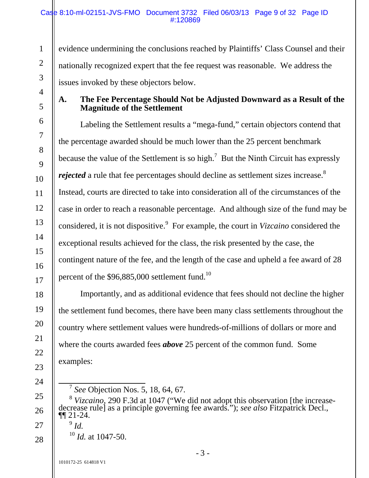#### Case 8:10-ml-02151-JVS-FMO Document 3732 Filed 06/03/13 Page 9 of 32 Page ID #:120869

evidence undermining the conclusions reached by Plaintiffs' Class Counsel and their nationally recognized expert that the fee request was reasonable. We address the issues invoked by these objectors below.

**A. The Fee Percentage Should Not be Adjusted Downward as a Result of the Magnitude of the Settlement** 

Labeling the Settlement results a "mega-fund," certain objectors contend that the percentage awarded should be much lower than the 25 percent benchmark because the value of the Settlement is so high.<sup>7</sup> But the Ninth Circuit has expressly *rejected* a rule that fee percentages should decline as settlement sizes increase.<sup>8</sup> Instead, courts are directed to take into consideration all of the circumstances of the case in order to reach a reasonable percentage. And although size of the fund may be considered, it is not dispositive.<sup>9</sup> For example, the court in *Vizcaino* considered the exceptional results achieved for the class, the risk presented by the case, the contingent nature of the fee, and the length of the case and upheld a fee award of 28 percent of the \$96,885,000 settlement fund.<sup>10</sup>

Importantly, and as additional evidence that fees should not decline the higher the settlement fund becomes, there have been many class settlements throughout the country where settlement values were hundreds-of-millions of dollars or more and where the courts awarded fees *above* 25 percent of the common fund. Some examples:

<sup>8</sup> *Vizcaino*, 290 F.3d at 1047 ("We did not adopt this observation [the increase- decrease rule] as a principle governing fee awards."); *see also* Fitzpatrick Decl., ¶¶ 21-24. <sup>9</sup> *Id.*

 $^{10}$  *Id.* at 1047-50.

 <sup>7</sup> *See* Objection Nos. 5, 18, 64, 67.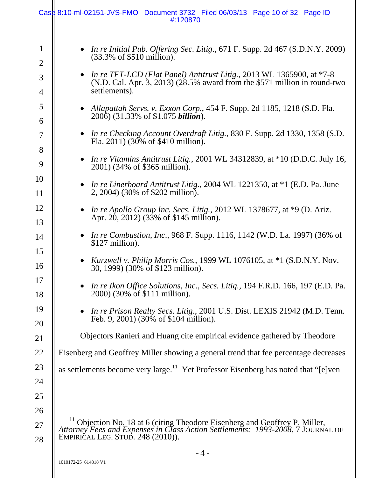|                                                                                                     | Case 8:10-ml-02151-JVS-FMO Document 3732 Filed 06/03/13 Page 10 of 32 Page ID<br>#:120870                                                                                                                                                                                                                                                                                                                                                                                                                                                                                                                                                                                                                                                                                                                                                                                                                                                                                                                                                                                                                                                                                                                                                   |
|-----------------------------------------------------------------------------------------------------|---------------------------------------------------------------------------------------------------------------------------------------------------------------------------------------------------------------------------------------------------------------------------------------------------------------------------------------------------------------------------------------------------------------------------------------------------------------------------------------------------------------------------------------------------------------------------------------------------------------------------------------------------------------------------------------------------------------------------------------------------------------------------------------------------------------------------------------------------------------------------------------------------------------------------------------------------------------------------------------------------------------------------------------------------------------------------------------------------------------------------------------------------------------------------------------------------------------------------------------------|
| $\mathbf 1$<br>2<br>3<br>4<br>5<br>6<br>7<br>8<br>9<br>10<br>11<br>12<br>13<br>14<br>15<br>16<br>17 | • In re Initial Pub. Offering Sec. Litig., $671$ F. Supp. 2d $467$ (S.D.N.Y. 2009)<br>$(33.3\% \text{ of } $510 \text{ million}).$<br>• In re TFT-LCD (Flat Panel) Antitrust Litig., 2013 WL 1365900, at $*7-8$<br>$(N.D. Cal. Apr. 3, 2013)$ (28.5% award from the \$571 million in round-two<br>settlements).<br>• Allapattah Servs. v. Exxon Corp., 454 F. Supp. 2d 1185, 1218 (S.D. Fla.<br>2006) (31.33% of \$1.075 <i>billion</i> ).<br>• In re Checking Account Overdraft Litig., 830 F. Supp. 2d 1330, 1358 (S.D.<br>Fla. 2011) (30% of \$410 million).<br>• In re Vitamins Antitrust Litig., 2001 WL 34312839, at *10 (D.D.C. July 16,<br>2001) (34% of \$365 million).<br><i>In re Linerboard Antitrust Litig., 2004 WL 1221350, at *1 (E.D. Pa. June</i><br>$\bullet$<br>2, 2004) (30% of \$202 million).<br>In re Apollo Group Inc. Secs. Litig., 2012 WL 1378677, at $*9$ (D. Ariz.<br>Apr. 20, 2012) (33% of \$145 million).<br>• In re Combustion, Inc., 968 F. Supp. 1116, 1142 (W.D. La. 1997) (36% of<br>$$127$ million).<br>Kurzwell v. Philip Morris Cos., 1999 WL 1076105, at *1 (S.D.N.Y. Nov.<br>30, 1999) (30% of \$123 million).<br>In re Ikon Office Solutions, Inc., Secs. Litig., 194 F.R.D. 166, 197 (E.D. Pa. |
| 18<br>19<br>20                                                                                      | 2000) (30% of \$111 million).<br>• In re Prison Realty Secs. Litig., 2001 U.S. Dist. LEXIS 21942 (M.D. Tenn.<br>Feb. 9, 2001) (30% of \$104 million).                                                                                                                                                                                                                                                                                                                                                                                                                                                                                                                                                                                                                                                                                                                                                                                                                                                                                                                                                                                                                                                                                       |
| 21                                                                                                  | Objectors Ranieri and Huang cite empirical evidence gathered by Theodore                                                                                                                                                                                                                                                                                                                                                                                                                                                                                                                                                                                                                                                                                                                                                                                                                                                                                                                                                                                                                                                                                                                                                                    |
| 22                                                                                                  | Eisenberg and Geoffrey Miller showing a general trend that fee percentage decreases                                                                                                                                                                                                                                                                                                                                                                                                                                                                                                                                                                                                                                                                                                                                                                                                                                                                                                                                                                                                                                                                                                                                                         |
| 23<br>24<br>25                                                                                      | as settlements become very large. <sup>11</sup> Yet Professor Eisenberg has noted that "[e]ven                                                                                                                                                                                                                                                                                                                                                                                                                                                                                                                                                                                                                                                                                                                                                                                                                                                                                                                                                                                                                                                                                                                                              |
| 26<br>27<br>28                                                                                      | <sup>11</sup> Objection No. 18 at 6 (citing Theodore Eisenberg and Geoffrey P. Miller,<br>Attorney Fees and Expenses in Class Action Settlements: 1993-2008, 7 JOURNAL OF<br>EMPIRIČAL LEG. STUD. 248 (2010)).                                                                                                                                                                                                                                                                                                                                                                                                                                                                                                                                                                                                                                                                                                                                                                                                                                                                                                                                                                                                                              |
|                                                                                                     | $-4-$<br>1010172-25 614818 V1                                                                                                                                                                                                                                                                                                                                                                                                                                                                                                                                                                                                                                                                                                                                                                                                                                                                                                                                                                                                                                                                                                                                                                                                               |

 $\vert$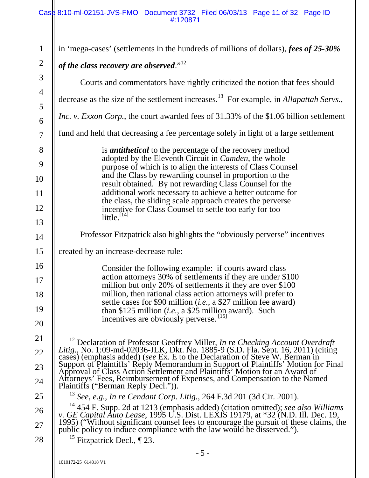#### Case 8:10-ml-02151-JVS-FMO Document 3732 Filed 06/03/13 Page 11 of 32 Page ID #:120871

| $\mathbf{1}$        |                                                                                                                                                                                |  |  |
|---------------------|--------------------------------------------------------------------------------------------------------------------------------------------------------------------------------|--|--|
| $\overline{c}$      | in 'mega-cases' (settlements in the hundreds of millions of dollars), fees of 25-30%                                                                                           |  |  |
| 3                   | of the class recovery are observed." $12$                                                                                                                                      |  |  |
|                     | Courts and commentators have rightly criticized the notion that fees should                                                                                                    |  |  |
| $\overline{4}$<br>5 | decrease as the size of the settlement increases. <sup>13</sup> For example, in Allapattah Servs.,                                                                             |  |  |
| 6                   | <i>Inc. v. Exxon Corp.</i> , the court awarded fees of 31.33% of the \$1.06 billion settlement                                                                                 |  |  |
| $\overline{7}$      | fund and held that decreasing a fee percentage solely in light of a large settlement                                                                                           |  |  |
| 8                   | is <i>antithetical</i> to the percentage of the recovery method                                                                                                                |  |  |
| 9                   | adopted by the Eleventh Circuit in Camden, the whole<br>purpose of which is to align the interests of Class Counsel                                                            |  |  |
| 10                  | and the Class by rewarding counsel in proportion to the<br>result obtained. By not rewarding Class Counsel for the                                                             |  |  |
| 11                  | additional work necessary to achieve a better outcome for                                                                                                                      |  |  |
| 12                  | the class, the sliding scale approach creates the perverse<br>incentive for Class Counsel to settle too early for too<br>little. <sup>[14]</sup>                               |  |  |
| 13                  |                                                                                                                                                                                |  |  |
| 14                  | Professor Fitzpatrick also highlights the "obviously perverse" incentives                                                                                                      |  |  |
| 15                  | created by an increase-decrease rule:                                                                                                                                          |  |  |
| 16                  | Consider the following example: if courts award class                                                                                                                          |  |  |
| 17                  | action attorneys 30% of settlements if they are under \$100<br>million but only 20% of settlements if they are over \$100                                                      |  |  |
| 18                  | million, then rational class action attorneys will prefer to<br>settle cases for \$90 million (i.e., a \$27 million fee award)                                                 |  |  |
| 19                  | than \$125 million ( <i>i.e.</i> , a \$25 million award). Such                                                                                                                 |  |  |
| 20                  | incentives are obviously perverse. <sup>[15]</sup>                                                                                                                             |  |  |
| 21                  | <sup>12</sup> Declaration of Professor Geoffrey Miller, In re Checking Account Overdraft                                                                                       |  |  |
| 22                  | Litig., No. 1:09-md-02036-JLK, Dkt. No. 1885-9 (S.D. Fla. Sept. 16, 2011) (citing<br>cases) (emphasis added) (see Ex. E to the Declaration of Steve W. Berman in               |  |  |
| 23                  | Support of Plaintiffs' Réply Memorandum in Support of Plaintiffs' Motion for Final<br>Approval of Class Action Settlement and Plaintiffs' Motion for an Award of               |  |  |
| 24                  | Attorneys' Fees, Reimbursement of Expenses, and Compensation to the Named<br>Plaintiffs ("Berman Reply Decl.")).                                                               |  |  |
| 25                  | 13<br>See, e.g., In re Cendant Corp. Litig., 264 F.3d 201 (3d Cir. 2001).                                                                                                      |  |  |
| 26                  | <sup>14</sup> 454 F. Supp. 2d at 1213 (emphasis added) (citation omitted); see also Williams v. GE Capital Auto Lease, 1995 U.S. Dist. LEXIS 19179, at *32 (N.D. III. Dec. 19, |  |  |
| 27                  | 1995) ("Without significant counsel fees to encourage the pursuit of these claims, the public policy to induce compliance with the law would be disserved.").                  |  |  |
| 28                  | <sup>15</sup> Fitzpatrick Decl., $\P$ 23.                                                                                                                                      |  |  |
|                     | $-5-$                                                                                                                                                                          |  |  |
|                     | 1010172-25 614818 V1                                                                                                                                                           |  |  |
|                     |                                                                                                                                                                                |  |  |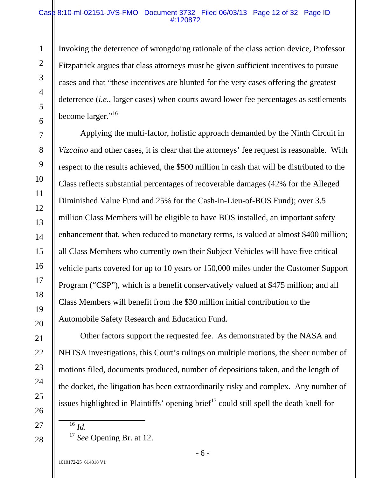#### Case 8:10-ml-02151-JVS-FMO Document 3732 Filed 06/03/13 Page 12 of 32 Page ID #:120872

Invoking the deterrence of wrongdoing rationale of the class action device, Professor Fitzpatrick argues that class attorneys must be given sufficient incentives to pursue cases and that "these incentives are blunted for the very cases offering the greatest deterrence (*i.e.*, larger cases) when courts award lower fee percentages as settlements become larger."<sup>16</sup>

Applying the multi-factor, holistic approach demanded by the Ninth Circuit in *Vizcaino* and other cases, it is clear that the attorneys' fee request is reasonable. With respect to the results achieved, the \$500 million in cash that will be distributed to the Class reflects substantial percentages of recoverable damages (42% for the Alleged Diminished Value Fund and 25% for the Cash-in-Lieu-of-BOS Fund); over 3.5 million Class Members will be eligible to have BOS installed, an important safety enhancement that, when reduced to monetary terms, is valued at almost \$400 million; all Class Members who currently own their Subject Vehicles will have five critical vehicle parts covered for up to 10 years or 150,000 miles under the Customer Support Program ("CSP"), which is a benefit conservatively valued at \$475 million; and all Class Members will benefit from the \$30 million initial contribution to the Automobile Safety Research and Education Fund.

1

2

3

4

5

6

7

8

9

10

11

12

13

14

15

16

17

Other factors support the requested fee. As demonstrated by the NASA and NHTSA investigations, this Court's rulings on multiple motions, the sheer number of motions filed, documents produced, number of depositions taken, and the length of the docket, the litigation has been extraordinarily risky and complex. Any number of issues highlighted in Plaintiffs' opening brief<sup>17</sup> could still spell the death knell for

 $\overline{16}$  *Id.* 

<sup>17</sup> *See* Opening Br. at 12.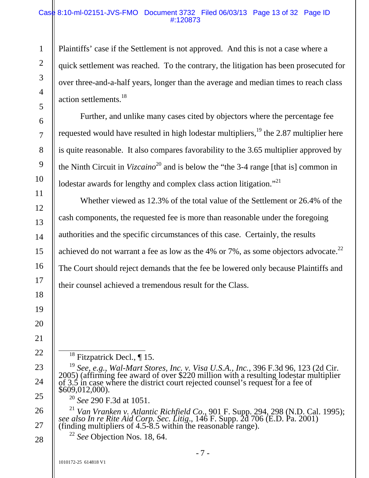#### Case 8:10-ml-02151-JVS-FMO Document 3732 Filed 06/03/13 Page 13 of 32 Page ID #:120873

Plaintiffs' case if the Settlement is not approved. And this is not a case where a quick settlement was reached. To the contrary, the litigation has been prosecuted for over three-and-a-half years, longer than the average and median times to reach class action settlements.<sup>18</sup>

Further, and unlike many cases cited by objectors where the percentage fee requested would have resulted in high lodestar multipliers,  $19$  the 2.87 multiplier here is quite reasonable. It also compares favorability to the 3.65 multiplier approved by the Ninth Circuit in *Vizcaino*<sup>20</sup> and is below the "the 3-4 range [that is] common in lodestar awards for lengthy and complex class action litigation."<sup>21</sup>

Whether viewed as 12.3% of the total value of the Settlement or 26.4% of the cash components, the requested fee is more than reasonable under the foregoing authorities and the specific circumstances of this case. Certainly, the results achieved do not warrant a fee as low as the 4% or 7%, as some objectors advocate.<sup>22</sup> The Court should reject demands that the fee be lowered only because Plaintiffs and their counsel achieved a tremendous result for the Class.

<sup>18</sup> Fitzpatrick Decl.,  $\P$  15.

<sup>19</sup> See, e.g., Wal-Mart Stores, Inc. v. Visa U.S.A., Inc., 396 F.3d 96, 123 (2d Cir. 2005) (affirming fee award of over \$220 million with a resulting lodestar multiplier of 3.5 in case where the district court rejected c

<sup>20</sup> *See* 290 F.3d at 1051.

<sup>21</sup> Van Vranken v. Atlantic Richfield Co., 901 F. Supp. 294, 298 (N.D. Cal. 1995); see also In re Rite Aid Corp. Sec. Litig., 146 F. Supp. 2d 706 (E.D. Pa. 2001) (finding multipliers of 4.5-8.5 within the reasonable rang

<sup>22</sup> *See* Objection Nos. 18, 64.

1

2

3

4

5

6

7

8

9

10

11

12

13

14

15

16

17

18

19

20

21

22

23

24

25

26

27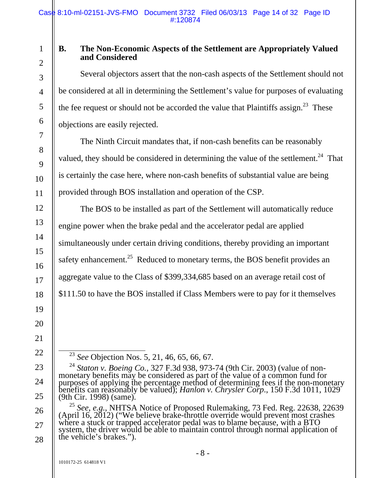# 2

3

4

5

6

7

8

9

10

11

12

13

14

15

16

17

18

19

20

21

22

23

24

25

1

# **B. The Non-Economic Aspects of the Settlement are Appropriately Valued and Considered**

Several objectors assert that the non-cash aspects of the Settlement should not be considered at all in determining the Settlement's value for purposes of evaluating the fee request or should not be accorded the value that Plaintiffs assign.<sup>23</sup> These objections are easily rejected.

The Ninth Circuit mandates that, if non-cash benefits can be reasonably valued, they should be considered in determining the value of the settlement.<sup>24</sup> That is certainly the case here, where non-cash benefits of substantial value are being provided through BOS installation and operation of the CSP.

The BOS to be installed as part of the Settlement will automatically reduce engine power when the brake pedal and the accelerator pedal are applied simultaneously under certain driving conditions, thereby providing an important safety enhancement.<sup>25</sup> Reduced to monetary terms, the BOS benefit provides an aggregate value to the Class of \$399,334,685 based on an average retail cost of \$111.50 to have the BOS installed if Class Members were to pay for it themselves

<sup>23</sup> *See* Objection Nos. 5, 21, 46, 65, 66, 67.

<sup>&</sup>lt;sup>24</sup> Staton v. Boeing Co., 327 F.3d 938, 973-74 (9th Cir. 2003) (value of non-<br>monetary benefits may be considered as part of the value of a common fund for<br>purposes of applying the percentage method of determining fees i (9th Cir. 1998) (same).

<sup>26</sup>  27 28 <sup>25</sup> See, e.g., NHTSA Notice of Proposed Rulemaking, 73 Fed. Reg. 22638, 22639 (April 16, 2012) ("We believe brake-throttle override would prevent most crashes where a stuck or trapped accelerator pedal was to blame becau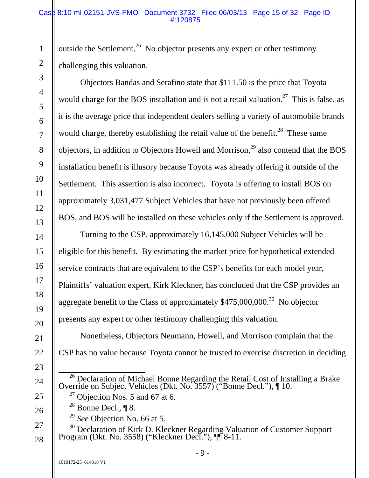#### Case 8:10-ml-02151-JVS-FMO Document 3732 Filed 06/03/13 Page 15 of 32 Page ID #:120875

outside the Settlement.<sup>26</sup> No objector presents any expert or other testimony challenging this valuation.

Objectors Bandas and Serafino state that \$111.50 is the price that Toyota would charge for the BOS installation and is not a retail valuation.<sup>27</sup> This is false, as it is the average price that independent dealers selling a variety of automobile brands would charge, thereby establishing the retail value of the benefit.<sup>28</sup> These same objectors, in addition to Objectors Howell and Morrison, $^{29}$  also contend that the BOS installation benefit is illusory because Toyota was already offering it outside of the Settlement. This assertion is also incorrect. Toyota is offering to install BOS on approximately 3,031,477 Subject Vehicles that have not previously been offered BOS, and BOS will be installed on these vehicles only if the Settlement is approved.

Turning to the CSP, approximately 16,145,000 Subject Vehicles will be eligible for this benefit. By estimating the market price for hypothetical extended service contracts that are equivalent to the CSP's benefits for each model year, Plaintiffs' valuation expert, Kirk Kleckner, has concluded that the CSP provides an aggregate benefit to the Class of approximately \$475,000,000.<sup>30</sup> No objector presents any expert or other testimony challenging this valuation.

Nonetheless, Objectors Neumann, Howell, and Morrison complain that the CSP has no value because Toyota cannot be trusted to exercise discretion in deciding

- <sup>26</sup> Declaration of Michael Bonne Regarding the Retail Cost of Installing a Brake Override on Subject Vehicles (Dkt. No. 3557) ("Bonne Decl."),  $\P$  10.
	- $27$  Objection Nos. 5 and 67 at 6.
	- $^{28}$  Bonne Decl., ¶ 8.
	- <sup>29</sup> *See* Objection No. 66 at 5.
- <sup>30</sup> Declaration of Kirk D. Kleckner Regarding Valuation of Customer Support Program (Dkt. No. 3558) ("Kleckner Decl."),  $\P\P$  8-11.

1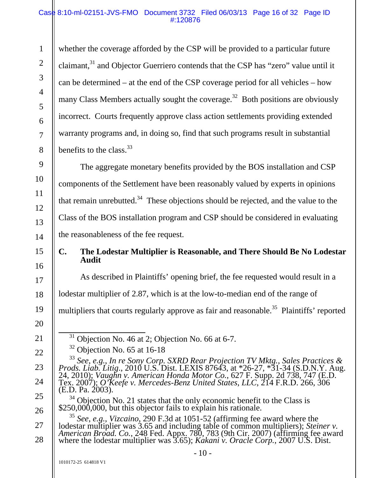#### Case 8:10-ml-02151-JVS-FMO Document 3732 Filed 06/03/13 Page 16 of 32 Page ID #:120876

whether the coverage afforded by the CSP will be provided to a particular future claimant,<sup>31</sup> and Objector Guerriero contends that the CSP has "zero" value until it can be determined – at the end of the CSP coverage period for all vehicles – how many Class Members actually sought the coverage.<sup>32</sup> Both positions are obviously incorrect. Courts frequently approve class action settlements providing extended warranty programs and, in doing so, find that such programs result in substantial benefits to the class.  $33$ 

The aggregate monetary benefits provided by the BOS installation and CSP components of the Settlement have been reasonably valued by experts in opinions that remain unrebutted.<sup>34</sup> These objections should be rejected, and the value to the Class of the BOS installation program and CSP should be considered in evaluating the reasonableness of the fee request.

# **C. The Lodestar Multiplier is Reasonable, and There Should Be No Lodestar Audit**

As described in Plaintiffs' opening brief, the fee requested would result in a

lodestar multiplier of 2.87, which is at the low-to-median end of the range of

multipliers that courts regularly approve as fair and reasonable.<sup>35</sup> Plaintiffs' reported

- $31$  Objection No. 46 at 2; Objection No. 66 at 6-7.
- $32$  Objection No. 65 at 16-18

27 28 <sup>35</sup> *See*, *e.g.*, *Vizcaino*, 290 F.3d at 1051-52 (affirming fee award where the lodestar multiplier was 3.65 and including table of common multipliers); *Steiner v. American Broad. Co.*, 248 Fed. Appx. 780, 783 (9th Cir. 2007) (affirming fee award where the lodestar multiplier was 3.65); *Kakani v. Oracle Corp.*, 2007 U.S. Dist.

1

2

3

4

5

6

7

8

9

10

11

12

13

14

15

16

17

18

19

20

21

22

23

24

25

<sup>&</sup>lt;sup>33</sup> See, e.g., In re Sony Corp. SXRD Rear Projection TV Mktg., Sales Practices & Prods. Liab. Litig., 2010 U.S. Dist. LEXIS 87643, at \*26-27, \*31-34 (S.D.N.Y. Aug. 24, 2010); Vaughn v. American Honda Motor Co., 627 F. Su (E.D. Pa. 2003).

 $34$  Objection No. 21 states that the only economic benefit to the Class is \$250,000,000, but this objector fails to explain his rationale.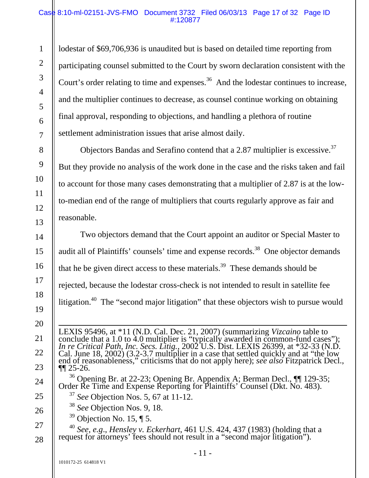#### Case 8:10-ml-02151-JVS-FMO Document 3732 Filed 06/03/13 Page 17 of 32 Page ID #:120877

lodestar of \$69,706,936 is unaudited but is based on detailed time reporting from participating counsel submitted to the Court by sworn declaration consistent with the Court's order relating to time and expenses.<sup>36</sup> And the lodestar continues to increase, and the multiplier continues to decrease, as counsel continue working on obtaining final approval, responding to objections, and handling a plethora of routine settlement administration issues that arise almost daily.

Objectors Bandas and Serafino contend that a 2.87 multiplier is excessive.37 But they provide no analysis of the work done in the case and the risks taken and fail to account for those many cases demonstrating that a multiplier of 2.87 is at the lowto-median end of the range of multipliers that courts regularly approve as fair and reasonable.

Two objectors demand that the Court appoint an auditor or Special Master to audit all of Plaintiffs' counsels' time and expense records.<sup>38</sup> One objector demands that he be given direct access to these materials.<sup>39</sup> These demands should be rejected, because the lodestar cross-check is not intended to result in satellite fee litigation.<sup>40</sup> The "second major litigation" that these objectors wish to pursue would

 LEXIS 95496, at \*11 (N.D. Cal. Dec. 21, 2007) (summarizing *Vizcaino* table to conclude that a 1.0 to 4.0 multiplier is "typically awarded in common-fund cases");<br>In re Critical Path, Inc. Secs. Litig., 2002 U.S. Dist. LEXIS 26399, at \*32-33 (N.D.<br>Cal. June 18, 2002) (3.2-3.7 multiplier in a case tha

- <sup>36</sup> Opening Br. at 22-23; Opening Br. Appendix A; Berman Decl.,  $\P\P$  129-35; Order Re Time and Expense Reporting for Plaintiffs' Counsel (Dkt. No. 483).
	- <sup>37</sup> *See* Objection Nos. 5, 67 at 11-12.
	- <sup>38</sup> *See* Objection Nos. 9, 18.
	- $39$  Objection No. 15, ¶ 5.

<sup>40</sup> *See*, *e.g*., *Hensley v. Eckerhart*, 461 U.S. 424, 437 (1983) (holding that a request for attorneys' fees should not result in a "second major litigation").

1

2

3

4

5

6

7

8

9

10

11

12

13

14

15

16

17

18

19

20

21

22

23

24

25

26

27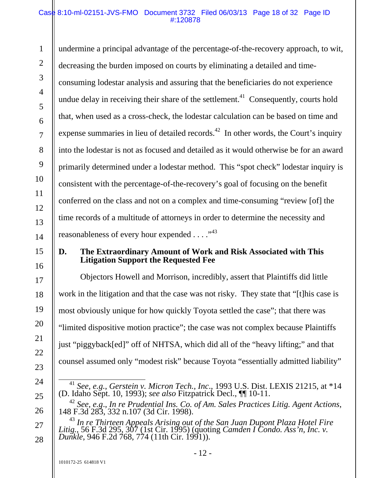#### Case 8:10-ml-02151-JVS-FMO Document 3732 Filed 06/03/13 Page 18 of 32 Page ID #:120878

1 2 3 4 5 6 7 8 9 10 11 12 13 14 undermine a principal advantage of the percentage-of-the-recovery approach, to wit, decreasing the burden imposed on courts by eliminating a detailed and timeconsuming lodestar analysis and assuring that the beneficiaries do not experience undue delay in receiving their share of the settlement.<sup>41</sup> Consequently, courts hold that, when used as a cross-check, the lodestar calculation can be based on time and expense summaries in lieu of detailed records.<sup>42</sup> In other words, the Court's inquiry into the lodestar is not as focused and detailed as it would otherwise be for an award primarily determined under a lodestar method. This "spot check" lodestar inquiry is consistent with the percentage-of-the-recovery's goal of focusing on the benefit conferred on the class and not on a complex and time-consuming "review [of] the time records of a multitude of attorneys in order to determine the necessity and reasonableness of every hour expended  $\dots$ ."<sup>43</sup>

# **D. The Extraordinary Amount of Work and Risk Associated with This Litigation Support the Requested Fee**

Objectors Howell and Morrison, incredibly, assert that Plaintiffs did little work in the litigation and that the case was not risky. They state that "[t]his case is most obviously unique for how quickly Toyota settled the case"; that there was "limited dispositive motion practice"; the case was not complex because Plaintiffs just "piggyback[ed]" off of NHTSA, which did all of the "heavy lifting;" and that counsel assumed only "modest risk" because Toyota "essentially admitted liability"

15

16

17

18

19

20

21

22

23

24

25

26

27

 <sup>41</sup> *See, e.g.*, *Gerstein v. Micron Tech., Inc*., 1993 U.S. Dist. LEXIS 21215, at \*14 (D. Idaho Sept. 10, 1993); *see also* Fitzpatrick Decl., ¶¶ 10-11.

<sup>42</sup> *See*, *e.g*., *In re Prudential Ins. Co. of Am. Sales Practices Litig. Agent Actions*, 148 F.3d 283, 332 n.107 (3d Cir. 1998).

<sup>&</sup>lt;sup>43</sup> In re Thirteen Appeals Arising out of the San Juan Dupont Plaza Hotel Fire *Litig.*, 56 F.3d 295, 307 (1st Cir. 1995) (quoting *Camden I Condo. Ass'n, Inc. v. Dunkle*, 946 F.2d 768, 774 (11th Cir. 1991)).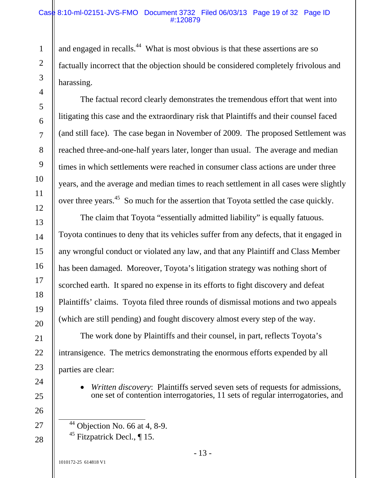#### Case 8:10-ml-02151-JVS-FMO Document 3732 Filed 06/03/13 Page 19 of 32 Page ID #:120879

and engaged in recalls.<sup>44</sup> What is most obvious is that these assertions are so factually incorrect that the objection should be considered completely frivolous and harassing.

The factual record clearly demonstrates the tremendous effort that went into litigating this case and the extraordinary risk that Plaintiffs and their counsel faced (and still face). The case began in November of 2009. The proposed Settlement was reached three-and-one-half years later, longer than usual. The average and median times in which settlements were reached in consumer class actions are under three years, and the average and median times to reach settlement in all cases were slightly over three years.<sup>45</sup> So much for the assertion that Toyota settled the case quickly.

The claim that Toyota "essentially admitted liability" is equally fatuous. Toyota continues to deny that its vehicles suffer from any defects, that it engaged in any wrongful conduct or violated any law, and that any Plaintiff and Class Member has been damaged. Moreover, Toyota's litigation strategy was nothing short of scorched earth. It spared no expense in its efforts to fight discovery and defeat Plaintiffs' claims. Toyota filed three rounds of dismissal motions and two appeals (which are still pending) and fought discovery almost every step of the way.

The work done by Plaintiffs and their counsel, in part, reflects Toyota's intransigence. The metrics demonstrating the enormous efforts expended by all parties are clear:

 *Written discovery*: Plaintiffs served seven sets of requests for admissions, one set of contention interrogatories, 11 sets of regular interrogatories, and

 $44$  Objection No. 66 at 4, 8-9. <sup>45</sup> Fitzpatrick Decl.,  $\P$  15.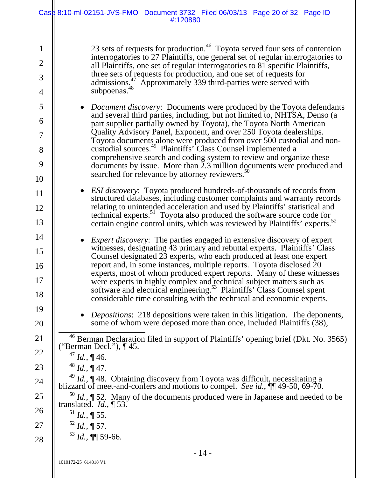|                                                       | Case 8:10-ml-02151-JVS-FMO Document 3732 Filed 06/03/13 Page 20 of 32 Page ID<br>#:120880                                                                                                                                                                                                                                                                                                                                                                                                                                                                                                                                                                                         |
|-------------------------------------------------------|-----------------------------------------------------------------------------------------------------------------------------------------------------------------------------------------------------------------------------------------------------------------------------------------------------------------------------------------------------------------------------------------------------------------------------------------------------------------------------------------------------------------------------------------------------------------------------------------------------------------------------------------------------------------------------------|
| $\mathbf{1}$<br>$\overline{2}$<br>3<br>$\overline{4}$ | 23 sets of requests for production. <sup>46</sup> Toyota served four sets of contention<br>interrogatories to 27 Plaintiffs, one general set of regular interrogatories to<br>all Plaintiffs, one set of regular interrogatories to 81 specific Plaintiffs,<br>three sets of requests for production, and one set of requests for<br>admissions. <sup>47</sup> Approximately 339 third-parties were served with<br>subpoenas. <sup>48</sup>                                                                                                                                                                                                                                       |
| 5<br>6<br>$\tau$<br>8<br>9<br>10                      | Document discovery: Documents were produced by the Toyota defendants<br>$\bullet$<br>and several third parties, including, but not limited to, NHTSA, Denso (a<br>part supplier partially owned by Toyota), the Toyota North American<br>Quality Advisory Panel, Exponent, and over 250 Toyota dealerships.<br>Toyota documents alone were produced from over 500 custodial and non-<br>custodial sources. <sup>49</sup> Plaintiffs' Class Counsel implemented a<br>comprehensive search and coding system to review and organize these<br>documents by issue. More than $2.3$ million documents were produced and<br>searched for relevance by attorney reviewers. <sup>50</sup> |
| 11<br>12<br>13                                        | ESI discovery: Toyota produced hundreds-of-thousands of records from<br>$\bullet$<br>structured databases, including customer complaints and warranty records<br>relating to unintended acceleration and used by Plaintiffs' statistical and<br>technical experts. <sup>51</sup> Toyota also produced the software source code for<br>certain engine control units, which was reviewed by Plaintiffs' experts. <sup>52</sup>                                                                                                                                                                                                                                                      |
| 14<br>15<br>16<br>17<br>18                            | <i>Expert discovery</i> : The parties engaged in extensive discovery of expert<br>witnesses, designating 43 primary and rebuttal experts. Plaintiffs' Class<br>Counsel designated 23 experts, who each produced at least one expert<br>report and, in some instances, multiple reports. Toyota disclosed 20<br>experts, most of whom produced expert reports. Many of these witnesses<br>were experts in highly complex and technical subject matters such as<br>software and electrical engineering. <sup>53</sup> Plaintiffs' Class Counsel spent<br>considerable time consulting with the technical and economic experts.                                                      |
| 19<br>20                                              | <i>Depositions:</i> 218 depositions were taken in this litigation. The deponents,<br>some of whom were deposed more than once, included Plaintiffs (38),                                                                                                                                                                                                                                                                                                                                                                                                                                                                                                                          |
| 21<br>22                                              | <sup>46</sup> Berman Declaration filed in support of Plaintiffs' opening brief (Dkt. No. 3565)<br>("Berman Decl."), ¶ 45.<br>$^{47}$ <i>Id.</i> , ¶ 46.                                                                                                                                                                                                                                                                                                                                                                                                                                                                                                                           |
| 23                                                    | $^{48}$ <i>Id.</i> , ¶ 47.                                                                                                                                                                                                                                                                                                                                                                                                                                                                                                                                                                                                                                                        |
| 24                                                    | <sup>49</sup> Id., $\P$ 48. Obtaining discovery from Toyota was difficult, necessitating a<br>blizzard of meet-and-confers and motions to compel. See id., [¶ 49-50, 69-70.                                                                                                                                                                                                                                                                                                                                                                                                                                                                                                       |
| 25<br>26                                              | $^{50}$ <i>Id.</i> , $\sqrt{\ }$ 52. Many of the documents produced were in Japanese and needed to be<br>translated. $Id., \P 53.$                                                                                                                                                                                                                                                                                                                                                                                                                                                                                                                                                |
| 27                                                    | $^{51}$ <i>Id.</i> , ¶ 55.<br>$52$ <i>Id.</i> , ¶ 57.                                                                                                                                                                                                                                                                                                                                                                                                                                                                                                                                                                                                                             |
| 28                                                    | $53$ <i>Id.</i> , <b>¶</b> 59-66.                                                                                                                                                                                                                                                                                                                                                                                                                                                                                                                                                                                                                                                 |
|                                                       | $-14-$                                                                                                                                                                                                                                                                                                                                                                                                                                                                                                                                                                                                                                                                            |
|                                                       | 1010172-25 614818 V1                                                                                                                                                                                                                                                                                                                                                                                                                                                                                                                                                                                                                                                              |

 $\frac{1}{2}$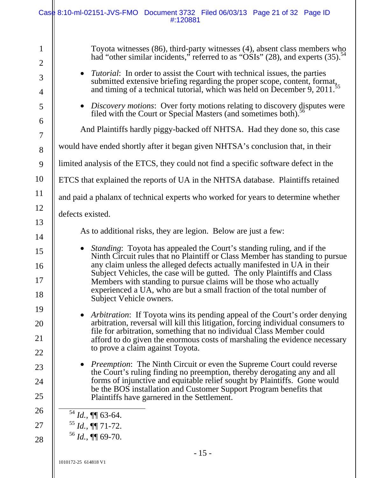|                                                            | Case 8:10-ml-02151-JVS-FMO Document 3732 Filed 06/03/13 Page 21 of 32 Page ID<br>#:120881                                                                                                                                                                                                                                                                                                                                                                                                                                                 |
|------------------------------------------------------------|-------------------------------------------------------------------------------------------------------------------------------------------------------------------------------------------------------------------------------------------------------------------------------------------------------------------------------------------------------------------------------------------------------------------------------------------------------------------------------------------------------------------------------------------|
| $\mathbf{1}$<br>$\overline{2}$<br>3<br>$\overline{4}$<br>5 | Toyota witnesses (86), third-party witnesses (4), absent class members who<br>had "other similar incidents," referred to as "OSIs" (28), and experts (35). <sup>54</sup><br><i>Tutorial:</i> In order to assist the Court with technical issues, the parties<br>$\bullet$<br>submitted extensive briefing regarding the proper scope, content, format,<br>and timing of a technical tutorial, which was held on December 9, 2011. <sup>55</sup><br>• Discovery motions: Over forty motions relating to discovery disputes were            |
| 6<br>$\tau$<br>8                                           | filed with the Court or Special Masters (and sometimes both).<br>And Plaintiffs hardly piggy-backed off NHTSA. Had they done so, this case<br>would have ended shortly after it began given NHTSA's conclusion that, in their                                                                                                                                                                                                                                                                                                             |
| 9                                                          | limited analysis of the ETCS, they could not find a specific software defect in the                                                                                                                                                                                                                                                                                                                                                                                                                                                       |
| 10<br>11                                                   | ETCS that explained the reports of UA in the NHTSA database. Plaintiffs retained<br>and paid a phalanx of technical experts who worked for years to determine whether                                                                                                                                                                                                                                                                                                                                                                     |
| 12<br>13                                                   | defects existed.                                                                                                                                                                                                                                                                                                                                                                                                                                                                                                                          |
| 14<br>15<br>16<br>17                                       | As to additional risks, they are legion. Below are just a few:<br>Standing: Toyota has appealed the Court's standing ruling, and if the<br>$\bullet$<br>Ninth Circuit rules that no Plaintiff or Class Member has standing to pursue<br>any claim unless the alleged defects actually manifested in UA in their<br>Subject Vehicles, the case will be gutted. The only Plaintiffs and Class<br>Members with standing to pursue claims will be those who actually<br>experienced a UA, who are but a small fraction of the total number of |
| 18<br>19<br>20<br>21<br>22                                 | Subject Vehicle owners.<br><i>Arbitration:</i> If Toyota wins its pending appeal of the Court's order denying<br>$\bullet$<br>arbitration, reversal will kill this litigation, forcing individual consumers to<br>file for arbitration, something that no individual Class Member could<br>afford to do given the enormous costs of marshaling the evidence necessary<br>to prove a claim against Toyota.                                                                                                                                 |
| 23<br>24<br>25                                             | <i>Preemption:</i> The Ninth Circuit or even the Supreme Court could reverse<br>$\bullet$<br>the Court's ruling finding no preemption, thereby derogating any and all<br>forms of injunctive and equitable relief sought by Plaintiffs. Gone would<br>be the BOS installation and Customer Support Program benefits that<br>Plaintiffs have garnered in the Settlement.                                                                                                                                                                   |
| 26<br>27<br>28                                             | $^{54}$ <i>Id.</i> , <b>¶</b> 63-64.<br>$^{55}$ <i>Id.</i> , $\P\P$ 71-72.<br>$^{56}$ <i>Id.</i> , ¶[ 69-70.<br>15                                                                                                                                                                                                                                                                                                                                                                                                                        |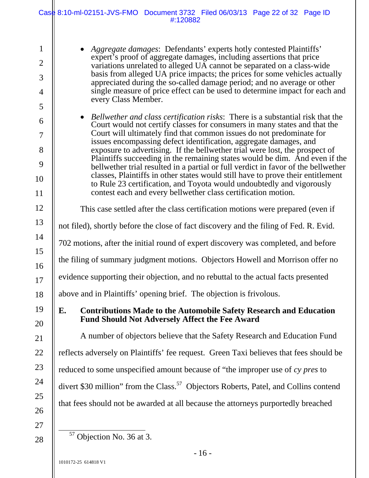|                                                            | Case 8:10-ml-02151-JVS-FMO Document 3732 Filed 06/03/13 Page 22 of 32 Page ID<br>#:120882                                                                                                                                                                                                                                                                                                                                                                                                                                                                                                                                                                                                                                                                                                  |  |  |
|------------------------------------------------------------|--------------------------------------------------------------------------------------------------------------------------------------------------------------------------------------------------------------------------------------------------------------------------------------------------------------------------------------------------------------------------------------------------------------------------------------------------------------------------------------------------------------------------------------------------------------------------------------------------------------------------------------------------------------------------------------------------------------------------------------------------------------------------------------------|--|--|
| $\mathbf{1}$<br>$\overline{2}$<br>3<br>$\overline{4}$<br>5 | • Aggregate damages: Defendants' experts hotly contested Plaintiffs'<br>expert's proof of aggregate damages, including assertions that price<br>variations unrelated to alleged UA cannot be separated on a class-wide<br>basis from alleged UA price impacts; the prices for some vehicles actually<br>appreciated during the so-called damage period; and no average or other<br>single measure of price effect can be used to determine impact for each and<br>every Class Member.                                                                                                                                                                                                                                                                                                      |  |  |
| 6<br>$\overline{7}$<br>8<br>9<br>10<br>11                  | • Bellwether and class certification risks: There is a substantial risk that the<br>Court would not certify classes for consumers in many states and that the<br>Court will ultimately find that common issues do not predominate for<br>issues encompassing defect identification, aggregate damages, and<br>exposure to advertising. If the bellwether trial were lost, the prospect of<br>Plaintiffs succeeding in the remaining states would be dim. And even if the<br>bellwether trial resulted in a partial or full verdict in favor of the bellwether<br>classes, Plaintiffs in other states would still have to prove their entitlement<br>to Rule 23 certification, and Toyota would undoubtedly and vigorously<br>contest each and every bellwether class certification motion. |  |  |
| 12                                                         | This case settled after the class certification motions were prepared (even if                                                                                                                                                                                                                                                                                                                                                                                                                                                                                                                                                                                                                                                                                                             |  |  |
| 13                                                         | not filed), shortly before the close of fact discovery and the filing of Fed. R. Evid.                                                                                                                                                                                                                                                                                                                                                                                                                                                                                                                                                                                                                                                                                                     |  |  |
| 14                                                         | 702 motions, after the initial round of expert discovery was completed, and before                                                                                                                                                                                                                                                                                                                                                                                                                                                                                                                                                                                                                                                                                                         |  |  |
| 15<br>16                                                   | the filing of summary judgment motions. Objectors Howell and Morrison offer no                                                                                                                                                                                                                                                                                                                                                                                                                                                                                                                                                                                                                                                                                                             |  |  |
| 17                                                         | evidence supporting their objection, and no rebuttal to the actual facts presented                                                                                                                                                                                                                                                                                                                                                                                                                                                                                                                                                                                                                                                                                                         |  |  |
| 18                                                         | above and in Plaintiffs' opening brief. The objection is frivolous.                                                                                                                                                                                                                                                                                                                                                                                                                                                                                                                                                                                                                                                                                                                        |  |  |
| 19<br>20                                                   | E.<br><b>Contributions Made to the Automobile Safety Research and Education</b><br><b>Fund Should Not Adversely Affect the Fee Award</b>                                                                                                                                                                                                                                                                                                                                                                                                                                                                                                                                                                                                                                                   |  |  |
| 21                                                         | A number of objectors believe that the Safety Research and Education Fund                                                                                                                                                                                                                                                                                                                                                                                                                                                                                                                                                                                                                                                                                                                  |  |  |
| 22                                                         | reflects adversely on Plaintiffs' fee request. Green Taxi believes that fees should be                                                                                                                                                                                                                                                                                                                                                                                                                                                                                                                                                                                                                                                                                                     |  |  |
| 23                                                         | reduced to some unspecified amount because of "the improper use of cy pres to                                                                                                                                                                                                                                                                                                                                                                                                                                                                                                                                                                                                                                                                                                              |  |  |
| 24                                                         | divert \$30 million" from the Class. <sup>57</sup> Objectors Roberts, Patel, and Collins contend                                                                                                                                                                                                                                                                                                                                                                                                                                                                                                                                                                                                                                                                                           |  |  |
| 25<br>26                                                   | that fees should not be awarded at all because the attorneys purportedly breached                                                                                                                                                                                                                                                                                                                                                                                                                                                                                                                                                                                                                                                                                                          |  |  |
| 27                                                         |                                                                                                                                                                                                                                                                                                                                                                                                                                                                                                                                                                                                                                                                                                                                                                                            |  |  |
| 28                                                         | <sup>57</sup> Objection No. 36 at 3.                                                                                                                                                                                                                                                                                                                                                                                                                                                                                                                                                                                                                                                                                                                                                       |  |  |

Objection No. 36 at 3.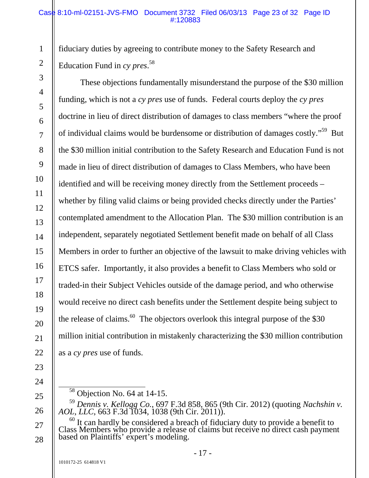#### Case 8:10-ml-02151-JVS-FMO Document 3732 Filed 06/03/13 Page 23 of 32 Page ID #:120883

fiduciary duties by agreeing to contribute money to the Safety Research and Education Fund in *cy pres*. 58

These objections fundamentally misunderstand the purpose of the \$30 million funding, which is not a *cy pres* use of funds. Federal courts deploy the *cy pres* doctrine in lieu of direct distribution of damages to class members "where the proof of individual claims would be burdensome or distribution of damages costly."59 But the \$30 million initial contribution to the Safety Research and Education Fund is not made in lieu of direct distribution of damages to Class Members, who have been identified and will be receiving money directly from the Settlement proceeds – whether by filing valid claims or being provided checks directly under the Parties' contemplated amendment to the Allocation Plan. The \$30 million contribution is an independent, separately negotiated Settlement benefit made on behalf of all Class Members in order to further an objective of the lawsuit to make driving vehicles with ETCS safer. Importantly, it also provides a benefit to Class Members who sold or traded-in their Subject Vehicles outside of the damage period, and who otherwise would receive no direct cash benefits under the Settlement despite being subject to the release of claims.<sup>60</sup> The objectors overlook this integral purpose of the \$30 million initial contribution in mistakenly characterizing the \$30 million contribution as a *cy pres* use of funds.

22

1

2

3

4

5

6

7

8

9

10

11

12

13

14

15

16

17

18

19

20

21

- 24
- 25

26

27

<sup>23</sup> 

 $\frac{58}{58}$  Objection No. 64 at 14-15.

<sup>59</sup> *Dennis v. Kellogg Co.*, 697 F.3d 858, 865 (9th Cir. 2012) (quoting *Nachshin v. AOL, LLC*, 663 F.3d 1034, 1038 (9th Cir. 2011)).

 $60$  It can hardly be considered a breach of fiduciary duty to provide a benefit to Class Members who provide a release of claims but receive no direct cash payment based on Plaintiffs' expert's modeling.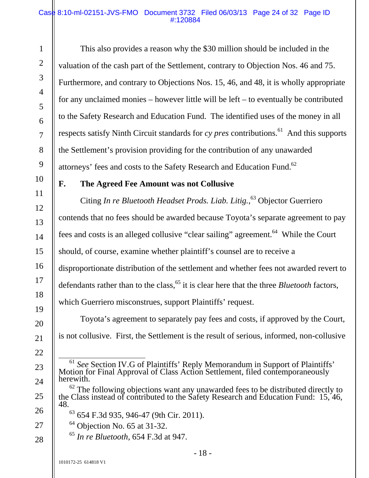#### Case 8:10-ml-02151-JVS-FMO Document 3732 Filed 06/03/13 Page 24 of 32 Page ID #:120884

This also provides a reason why the \$30 million should be included in the valuation of the cash part of the Settlement, contrary to Objection Nos. 46 and 75. Furthermore, and contrary to Objections Nos. 15, 46, and 48, it is wholly appropriate for any unclaimed monies – however little will be left – to eventually be contributed to the Safety Research and Education Fund. The identified uses of the money in all respects satisfy Ninth Circuit standards for  $cy$  *pres* contributions.<sup>61</sup> And this supports the Settlement's provision providing for the contribution of any unawarded attorneys' fees and costs to the Safety Research and Education Fund.<sup>62</sup>

### **F. The Agreed Fee Amount was not Collusive**

Citing *In re Bluetooth Headset Prods. Liab. Litig.*, 63 Objector Guerriero contends that no fees should be awarded because Toyota's separate agreement to pay fees and costs is an alleged collusive "clear sailing" agreement.<sup>64</sup> While the Court should, of course, examine whether plaintiff's counsel are to receive a disproportionate distribution of the settlement and whether fees not awarded revert to defendants rather than to the class,<sup>65</sup> it is clear here that the three *Bluetooth* factors, which Guerriero misconstrues, support Plaintiffs' request.

Toyota's agreement to separately pay fees and costs, if approved by the Court, is not collusive. First, the Settlement is the result of serious, informed, non-collusive

- $64$  Objection No. 65 at 31-32.
- <sup>65</sup> *In re Bluetooth*, 654 F.3d at 947.

<sup>&</sup>lt;sup>61</sup> *See* Section IV.G of Plaintiffs' Reply Memorandum in Support of Plaintiffs' Motion for Final Approval of Class Action Settlement, filed contemporaneously herewith.

 $62$  The following objections want any unawarded fees to be distributed directly to the Class instead of contributed to the Safety Research and Education Fund: 15, 46, 48.

 $63$  654 F.3d 935, 946-47 (9th Cir. 2011).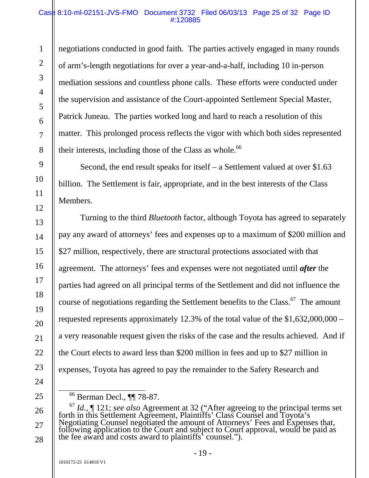#### Case 8:10-ml-02151-JVS-FMO Document 3732 Filed 06/03/13 Page 25 of 32 Page ID #:120885

negotiations conducted in good faith. The parties actively engaged in many rounds of arm's-length negotiations for over a year-and-a-half, including 10 in-person mediation sessions and countless phone calls. These efforts were conducted under the supervision and assistance of the Court-appointed Settlement Special Master, Patrick Juneau. The parties worked long and hard to reach a resolution of this matter. This prolonged process reflects the vigor with which both sides represented their interests, including those of the Class as whole. $66$ 

Second, the end result speaks for itself – a Settlement valued at over \$1.63 billion. The Settlement is fair, appropriate, and in the best interests of the Class Members.

Turning to the third *Bluetooth* factor, although Toyota has agreed to separately pay any award of attorneys' fees and expenses up to a maximum of \$200 million and \$27 million, respectively, there are structural protections associated with that agreement. The attorneys' fees and expenses were not negotiated until *after* the parties had agreed on all principal terms of the Settlement and did not influence the course of negotiations regarding the Settlement benefits to the Class.<sup>67</sup> The amount requested represents approximately 12.3% of the total value of the \$1,632,000,000 – a very reasonable request given the risks of the case and the results achieved. And if the Court elects to award less than \$200 million in fees and up to \$27 million in expenses, Toyota has agreed to pay the remainder to the Safety Research and

1

2

3

4

5

6

7

8

9

10

11

12

13

14

15

16

17

18

19

20

21

22

23

24

25

26

27

 <sup>66</sup> Berman Decl., ¶¶ 78-87.

<sup>&</sup>lt;sup>67</sup> *Id.*, ¶ 121; *see also* Agreement at 32 ("After agreeing to the principal terms set forth in this Settlement Agreement, Plaintiffs' Class Counsel and Toyota's Negotiating Counsel negotiated the amount of Attorneys' F Negotiating Counsel negotiated the amount of Attorneys' Fees and Expenses that, following application to the Court and subject to Court approval, would be paid as the fee award and costs award to plaintiffs' counsel.").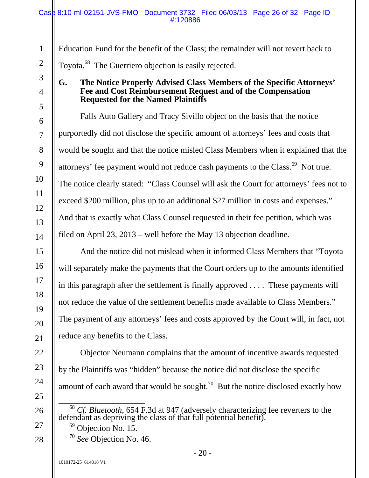Education Fund for the benefit of the Class; the remainder will not revert back to Toyota.<sup>68</sup> The Guerriero objection is easily rejected.

### **G. The Notice Properly Advised Class Members of the Specific Attorneys' Fee and Cost Reimbursement Request and of the Compensation Requested for the Named Plaintiffs**

Falls Auto Gallery and Tracy Sivillo object on the basis that the notice purportedly did not disclose the specific amount of attorneys' fees and costs that would be sought and that the notice misled Class Members when it explained that the attorneys' fee payment would not reduce cash payments to the Class.<sup>69</sup> Not true. The notice clearly stated: "Class Counsel will ask the Court for attorneys' fees not to exceed \$200 million, plus up to an additional \$27 million in costs and expenses." And that is exactly what Class Counsel requested in their fee petition, which was filed on April 23, 2013 – well before the May 13 objection deadline.

And the notice did not mislead when it informed Class Members that "Toyota will separately make the payments that the Court orders up to the amounts identified in this paragraph after the settlement is finally approved . . . . These payments will not reduce the value of the settlement benefits made available to Class Members." The payment of any attorneys' fees and costs approved by the Court will, in fact, not reduce any benefits to the Class.

Objector Neumann complains that the amount of incentive awards requested by the Plaintiffs was "hidden" because the notice did not disclose the specific amount of each award that would be sought.<sup>70</sup> But the notice disclosed exactly how

<sup>68</sup> *Cf. Bluetooth*, 654 F.3d at 947 (adversely characterizing fee reverters to the defendant as depriving the class of that full potential benefit).

- <sup>69</sup> Objection No. 15.
- <sup>70</sup> *See* Objection No. 46.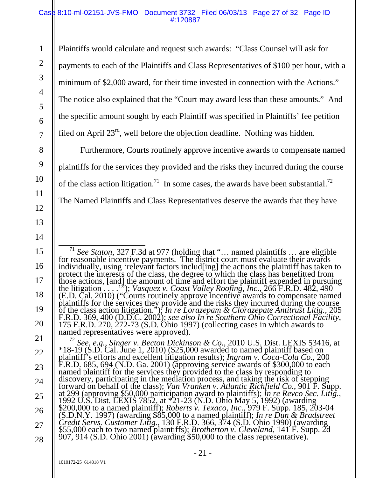#### Case 8:10-ml-02151-JVS-FMO Document 3732 Filed 06/03/13 Page 27 of 32 Page ID #:120887

Plaintiffs would calculate and request such awards: "Class Counsel will ask for payments to each of the Plaintiffs and Class Representatives of \$100 per hour, with a minimum of \$2,000 award, for their time invested in connection with the Actions." The notice also explained that the "Court may award less than these amounts." And the specific amount sought by each Plaintiff was specified in Plaintiffs' fee petition filed on April  $23<sup>rd</sup>$ , well before the objection deadline. Nothing was hidden.

Furthermore, Courts routinely approve incentive awards to compensate named plaintiffs for the services they provided and the risks they incurred during the course of the class action litigation.<sup>71</sup> In some cases, the awards have been substantial.<sup>72</sup> The Named Plaintiffs and Class Representatives deserve the awards that they have

<sup>72</sup> See, e.g., Singer v. Becton Dickinson & Co., 2010 U.S. Dist. LEXIS 53416, at \*18-19 (S.D. Cal. June 1, 2010) (\$25,000 awarded to named plaintiff based on plaintiff's efforts and excellent litigation results); *Ingram* F.R.D. 685, 694 (N.D. Ga. 2001) (approving service awards of \$300,000 to each named plaintiff for the services they provided to the class by responding to discovery, participating in the mediation process, and taking the r forward on behalf of the class); *Van Vranken v. Atlantic Richfield Co.*, 901 F. Supp.<br>at 299 (approving \$50,000 participation award to plaintiffs); *In re Revco Sec. Litig.*,<br>1992 U.S. Dist. LEXIS 7852, at \*21-23 (N.D. Oh \$55,000 each to two named plaintiffs); *Brotherton v. Cleveland*, 141 F. Supp. 2d<br>907, 914 (S.D. Ohio 2001) (awarding \$50,000 to the class representative).

1

2

3

4

5

6

7

8

9

10

11

12

13

14

15

16

17

18

19

20

21

22

23

<sup>&</sup>lt;sup>71</sup> *See Staton*, 327 F.3d at 977 (holding that "... named plaintiffs ... are eligible for reasonable incentive payments. The district court must evaluate their awards individually, using 'relevant factors includ[ing] the actions the plaintiff has taken to<br>protect the interests of the class, the degree to which the class has benefitted from<br>those actions, [and] the amount of time and eff (E.D. Cal. 2010) ("Courts routinely approve incentive awards to compensate named<br>plaintiffs for the services they provide and the risks they incurred during the course<br>of the class action litigation."); In re Lorazepam & C F.R.D. 369, 400 (D.D.C. 2002); *see also In re Southern Ohio Correctional Facility*, 175 F.R.D. 270, 272-73 (S.D. Ohio 1997) (collecting cases in which awards to named representatives were approved).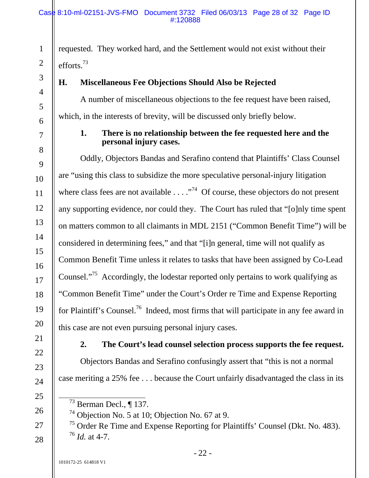requested. They worked hard, and the Settlement would not exist without their efforts.73

# **H. Miscellaneous Fee Objections Should Also be Rejected**

A number of miscellaneous objections to the fee request have been raised, which, in the interests of brevity, will be discussed only briefly below.

### **1. There is no relationship between the fee requested here and the personal injury cases.**

Oddly, Objectors Bandas and Serafino contend that Plaintiffs' Class Counsel are "using this class to subsidize the more speculative personal-injury litigation where class fees are not available  $\dots$   $\cdot$   $\cdot$   $\cdot$  Of course, these objectors do not present any supporting evidence, nor could they. The Court has ruled that "[o]nly time spent on matters common to all claimants in MDL 2151 ("Common Benefit Time") will be considered in determining fees," and that "[i]n general, time will not qualify as Common Benefit Time unless it relates to tasks that have been assigned by Co-Lead Counsel."75 Accordingly, the lodestar reported only pertains to work qualifying as "Common Benefit Time" under the Court's Order re Time and Expense Reporting for Plaintiff's Counsel.<sup>76</sup> Indeed, most firms that will participate in any fee award in this case are not even pursuing personal injury cases.

21

1

2

3

4

5

6

7

8

9

10

11

12

13

14

15

16

17

18

19

20

22

23

24

25

26

27

28

# **2. The Court's lead counsel selection process supports the fee request.**

Objectors Bandas and Serafino confusingly assert that "this is not a normal case meriting a 25% fee . . . because the Court unfairly disadvantaged the class in its

 $74$  Objection No. 5 at 10; Objection No. 67 at 9.

<sup>75</sup> Order Re Time and Expense Reporting for Plaintiffs' Counsel (Dkt. No. 483).  $^{76}$  *Id.* at 4-7.

 $^{73}$  Berman Decl., ¶ 137.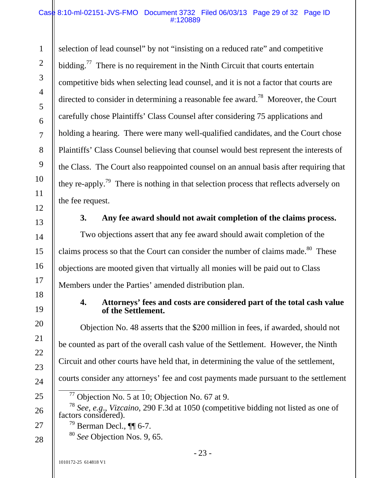#### Case 8:10-ml-02151-JVS-FMO Document 3732 Filed 06/03/13 Page 29 of 32 Page ID #:120889

selection of lead counsel" by not "insisting on a reduced rate" and competitive bidding.<sup>77</sup> There is no requirement in the Ninth Circuit that courts entertain competitive bids when selecting lead counsel, and it is not a factor that courts are directed to consider in determining a reasonable fee award.<sup>78</sup> Moreover, the Court carefully chose Plaintiffs' Class Counsel after considering 75 applications and holding a hearing. There were many well-qualified candidates, and the Court chose Plaintiffs' Class Counsel believing that counsel would best represent the interests of the Class. The Court also reappointed counsel on an annual basis after requiring that they re-apply.<sup>79</sup> There is nothing in that selection process that reflects adversely on the fee request.

1

2

3

4

5

6

7

8

9

10

11

12

13

14

15

16

17

18

19

20

21

22

23

24

25

26

27

#### **3. Any fee award should not await completion of the claims process.**

Two objections assert that any fee award should await completion of the claims process so that the Court can consider the number of claims made.<sup>80</sup> These objections are mooted given that virtually all monies will be paid out to Class Members under the Parties' amended distribution plan.

#### **4. Attorneys' fees and costs are considered part of the total cash value of the Settlement.**

Objection No. 48 asserts that the \$200 million in fees, if awarded, should not be counted as part of the overall cash value of the Settlement. However, the Ninth Circuit and other courts have held that, in determining the value of the settlement, courts consider any attorneys' fee and cost payments made pursuant to the settlement

<sup>78</sup> *See*, *e.g*., *Vizcaino*, 290 F.3d at 1050 (competitive bidding not listed as one of factors considered).

 $79$  Berman Decl.,  $\P\P$  6-7.

<sup>80</sup> *See* Objection Nos. 9, 65.

 $77$  Objection No. 5 at 10; Objection No. 67 at 9.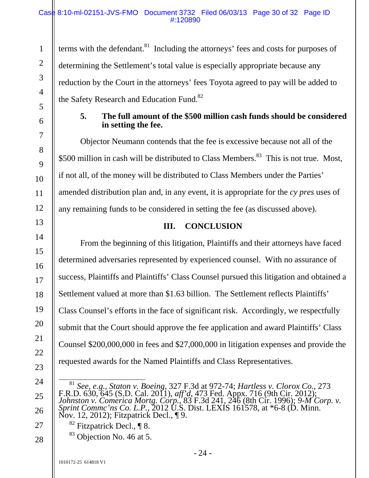#### Case 8:10-ml-02151-JVS-FMO Document 3732 Filed 06/03/13 Page 30 of 32 Page ID #:120890

terms with the defendant.<sup>81</sup> Including the attorneys' fees and costs for purposes of determining the Settlement's total value is especially appropriate because any reduction by the Court in the attorneys' fees Toyota agreed to pay will be added to the Safety Research and Education Fund.<sup>82</sup>

#### **5. The full amount of the \$500 million cash funds should be considered in setting the fee.**

Objector Neumann contends that the fee is excessive because not all of the \$500 million in cash will be distributed to Class Members.<sup>83</sup> This is not true. Most, if not all, of the money will be distributed to Class Members under the Parties' amended distribution plan and, in any event, it is appropriate for the *cy pres* uses of any remaining funds to be considered in setting the fee (as discussed above).

# **III. CONCLUSION**

From the beginning of this litigation, Plaintiffs and their attorneys have faced determined adversaries represented by experienced counsel. With no assurance of success, Plaintiffs and Plaintiffs' Class Counsel pursued this litigation and obtained a Settlement valued at more than \$1.63 billion. The Settlement reflects Plaintiffs' Class Counsel's efforts in the face of significant risk. Accordingly, we respectfully submit that the Court should approve the fee application and award Plaintiffs' Class Counsel \$200,000,000 in fees and \$27,000,000 in litigation expenses and provide the requested awards for the Named Plaintiffs and Class Representatives.

1

2

3

4

5

6

7

8

9

10

11

12

13

14

15

16

17

18

19

20

21

22

 $82$  Fitzpatrick Decl., ¶ 8.  $83$  Objection No. 46 at 5.

<sup>23</sup>  24 25 26

<sup>27</sup>  28

 <sup>81</sup> *See*, *e.g.*, *Staton v. Boeing*, 327 F.3d at 972-74; *Hartless v. Clorox Co.*, 273 F.R.D. 630, 645 (S.D. Cal. 2011), *aff'd*, 473 Fed. Appx. 716 (9th Cir. 2012);<br>Johnston v. Comerica Mortg. Corp., 83 F.3d 241, 246 (8th Cir. 1996); 9-M Corp. v.<br>Sprint Commc'ns Co. L.P., 2012 U.S. Dist. LEXIS 161578, at \*6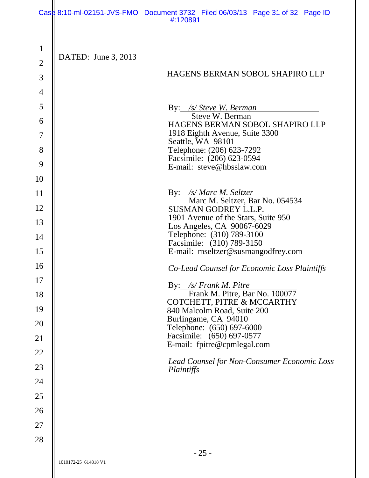|                |                      | Case 8:10-ml-02151-JVS-FMO Document 3732 Filed 06/03/13 Page 31 of 32 Page ID<br>#:120891 |
|----------------|----------------------|-------------------------------------------------------------------------------------------|
| $\mathbf{1}$   | DATED: June 3, 2013  |                                                                                           |
| $\overline{2}$ |                      |                                                                                           |
| 3              |                      | HAGENS BERMAN SOBOL SHAPIRO LLP                                                           |
| $\overline{4}$ |                      |                                                                                           |
| 5              |                      | By: /s/ Steve W. Berman                                                                   |
| 6              |                      | Steve W. Berman<br>HAGENS BERMAN SOBOL SHAPIRO LLP                                        |
| $\overline{7}$ |                      | 1918 Eighth Avenue, Suite 3300                                                            |
| 8              |                      | Seattle, WA 98101<br>Telephone: (206) 623-7292                                            |
| 9              |                      | Facsimile: (206) 623-0594<br>E-mail: steve@hbsslaw.com                                    |
| 10             |                      |                                                                                           |
| 11             |                      | By: /s/ Marc M. Seltzer<br>Marc M. Seltzer, Bar No. 054534                                |
| 12             |                      | <b>SUSMAN GODREY L.L.P.</b>                                                               |
| 13             |                      | 1901 Avenue of the Stars, Suite 950                                                       |
| 14             |                      | Los Angeles, CA 90067-6029<br>Telephone: (310) 789-3100                                   |
| 15             |                      | Facsimile: (310) 789-3150<br>E-mail: mseltzer@susmangodfrey.com                           |
| 16             |                      |                                                                                           |
| 17             |                      | Co-Lead Counsel for Economic Loss Plaintiffs                                              |
| 18             |                      | By: /s/ Frank M. Pitre<br>Frank M. Pitre, Bar No. 100077                                  |
| 19             |                      | COTCHETT, PITRE & MCCARTHY                                                                |
|                |                      | 840 Malcolm Road, Suite 200<br>Burlingame, CA 94010                                       |
| 20             |                      | Telephone: (650) 697-6000<br>Facsimile: (650) 697-0577                                    |
| 21             |                      | E-mail: fpitre@cpmlegal.com                                                               |
| 22             |                      | Lead Counsel for Non-Consumer Economic Loss                                               |
| 23             |                      | Plaintiffs                                                                                |
| 24             |                      |                                                                                           |
| 25             |                      |                                                                                           |
| 26             |                      |                                                                                           |
| 27             |                      |                                                                                           |
| 28             |                      |                                                                                           |
|                | 1010172-25 614818 V1 | $-25-$                                                                                    |

 $\mathbb{I}$